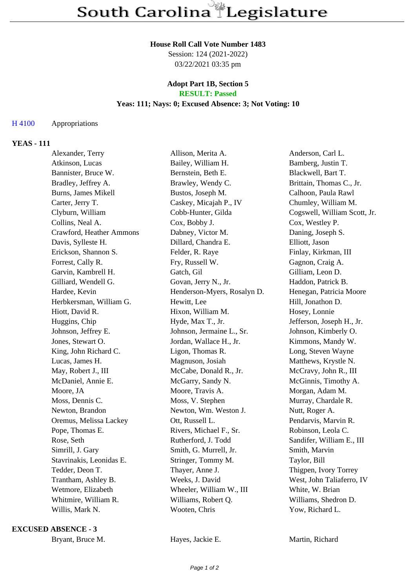#### **House Roll Call Vote Number 1483**

Session: 124 (2021-2022) 03/22/2021 03:35 pm

#### **Adopt Part 1B, Section 5 RESULT: Passed**

# **Yeas: 111; Nays: 0; Excused Absence: 3; Not Voting: 10**

# H 4100 Appropriations

# **YEAS - 111**

| Alexander, Terry         | Allison, Merita A.          | Anderson, Carl L.            |
|--------------------------|-----------------------------|------------------------------|
| Atkinson, Lucas          | Bailey, William H.          | Bamberg, Justin T.           |
| Bannister, Bruce W.      | Bernstein, Beth E.          | Blackwell, Bart T.           |
| Bradley, Jeffrey A.      | Brawley, Wendy C.           | Brittain, Thomas C., Jr.     |
| Burns, James Mikell      | Bustos, Joseph M.           | Calhoon, Paula Rawl          |
| Carter, Jerry T.         | Caskey, Micajah P., IV      | Chumley, William M.          |
| Clyburn, William         | Cobb-Hunter, Gilda          | Cogswell, William Scott, Jr. |
| Collins, Neal A.         | Cox, Bobby J.               | Cox, Westley P.              |
| Crawford, Heather Ammons | Dabney, Victor M.           | Daning, Joseph S.            |
| Davis, Sylleste H.       | Dillard, Chandra E.         | Elliott, Jason               |
| Erickson, Shannon S.     | Felder, R. Raye             | Finlay, Kirkman, III         |
| Forrest, Cally R.        | Fry, Russell W.             | Gagnon, Craig A.             |
| Garvin, Kambrell H.      | Gatch, Gil                  | Gilliam, Leon D.             |
| Gilliard, Wendell G.     | Govan, Jerry N., Jr.        | Haddon, Patrick B.           |
| Hardee, Kevin            | Henderson-Myers, Rosalyn D. | Henegan, Patricia Moore      |
| Herbkersman, William G.  | Hewitt, Lee                 | Hill, Jonathon D.            |
| Hiott, David R.          | Hixon, William M.           | Hosey, Lonnie                |
| Huggins, Chip            | Hyde, Max T., Jr.           | Jefferson, Joseph H., Jr.    |
| Johnson, Jeffrey E.      | Johnson, Jermaine L., Sr.   | Johnson, Kimberly O.         |
| Jones, Stewart O.        | Jordan, Wallace H., Jr.     | Kimmons, Mandy W.            |
| King, John Richard C.    | Ligon, Thomas R.            | Long, Steven Wayne           |
| Lucas, James H.          | Magnuson, Josiah            | Matthews, Krystle N.         |
| May, Robert J., III      | McCabe, Donald R., Jr.      | McCravy, John R., III        |
| McDaniel, Annie E.       | McGarry, Sandy N.           | McGinnis, Timothy A.         |
| Moore, JA                | Moore, Travis A.            | Morgan, Adam M.              |
| Moss, Dennis C.          | Moss, V. Stephen            | Murray, Chardale R.          |
| Newton, Brandon          | Newton, Wm. Weston J.       | Nutt, Roger A.               |
| Oremus, Melissa Lackey   | Ott, Russell L.             | Pendarvis, Marvin R.         |
| Pope, Thomas E.          | Rivers, Michael F., Sr.     | Robinson, Leola C.           |
| Rose, Seth               | Rutherford, J. Todd         | Sandifer, William E., III    |
| Simrill, J. Gary         | Smith, G. Murrell, Jr.      | Smith, Marvin                |
| Stavrinakis, Leonidas E. | Stringer, Tommy M.          | Taylor, Bill                 |
| Tedder, Deon T.          | Thayer, Anne J.             | Thigpen, Ivory Torrey        |
| Trantham, Ashley B.      | Weeks, J. David             | West, John Taliaferro, IV    |
| Wetmore, Elizabeth       | Wheeler, William W., III    | White, W. Brian              |
| Whitmire, William R.     | Williams, Robert Q.         | Williams, Shedron D.         |
| Willis, Mark N.          | Wooten, Chris               | Yow, Richard L.              |
|                          |                             |                              |

**EXCUSED ABSENCE - 3**

Bryant, Bruce M. **Hayes, Jackie E.** Martin, Richard